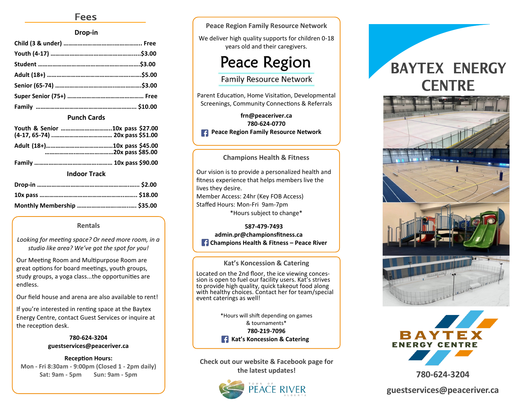# **Fees**

### **Drop-in**

### **Punch Cards**

| <b>Indoor Track</b> |  |  |  |
|---------------------|--|--|--|

### **Indoor Track**

### **Rentals**

*Looking for meeting space? Or need more room, in a studio like area? We've got the spot for you!*

Our Meeting Room and Multipurpose Room are great options for board meetings, youth groups, study groups, a yoga class...the opportunities are endless.

Our field house and arena are also available to rent!

If you're interested in renting space at the Baytex Energy Centre, contact Guest Services or inquire at the reception desk.

> **780-624-3204 guestservices@peaceriver.ca**

**Reception Hours: Mon - Fri 8:30am - 9:00pm (Closed 1 - 2pm daily) Sat: 9am - 5pm Sun: 9am - 5pm**

**Peace Region Family Resource Network**

We deliver high quality supports for children 0-18 years old and their caregivers.

# **Peace Region**

**Family Resource Network** 

Parent Education, Home Visitation, Developmental Screenings, Community Connections & Referrals

**frn@peaceriver.ca 780-624-0770 Peace Region Family Resource Network** 

### **Champions Health & Fitness**

Our vision is to provide a personalized health and fitness experience that helps members live the lives they desire. Member Access: 24hr (Key FOB Access) Staffed Hours: Mon-Fri 9am-7pm \*Hours subject to change\*

**587-479-7493 admin.pr@championsfitness.ca Champions Health & Fitness – Peace River**

### **Kat's Koncession & Catering**

Located on the 2nd floor, the ice viewing concession is open to fuel our facility users. Kat's strives to provide high quality, quick takeout food along with healthy choices. Contact her for team/special event caterings as well!

> \*Hours will shift depending on games & tournaments\* **780-219-7096 Kat's Koncession & Catering**

**Check out our website & Facebook page for the latest updates!** 



# **BAYTEX ENERGY CENTRE**





**780-624-3204**

**guestservices@peaceriver.ca**